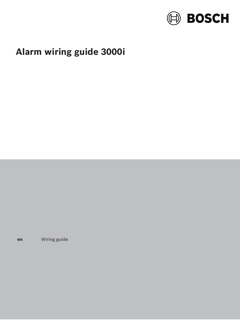

# Alarm wiring guide 3000i

Wiring guide en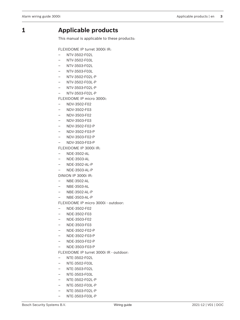## **1 Applicable products**

This manual is applicable to these products:

FLEXIDOME IP turret 3000i IR:

- NTV-3502-F02L
- NTV-3502-F03L
- NTV-3503-F02L
- NTV-3503-F03L
- NTV-3502-F02L-P
- NTV-3502-F03L-P
- NTV-3503-F02L-P
- NTV-3503-F02L-P

FLEXIDOME IP micro 3000i:

- NDV-3502-F02
- NDV-3502-F03
- NDV-3503-F02
- NDV-3503-F03
- NDV-3502-F02-P
- NDV-3502-F03-P
- NDV-3503-F02-P
- NDV-3503-F03-P

FLEXIDOME IP 3000i IR:

- NDE-3502-AL
- NDE-3503-AL
- NDE-3502-AL-P
- NDE-3503-AL-P

DINION IP 3000i IR:

- NBE-3502-AL
- NBE-3503-AL
- NBE-3502-AL-P
- NBE-3503-AL-P

FLEXIDOME IP micro 3000i - outdoor:

- NDE-3502-F02
- NDE-3502-F03
- NDE-3503-F02
- NDE-3503-F03
- NDE-3502-F02-P
- NDE-3502-F03-P
- NDE-3503-F02-P
- NDE-3503-F03-P

FLEXIDOME IP turret 3000i IR - outdoor:

- NTE-3502-F02L
- NTE-3502-F03L
- NTE-3503-F02L
- NTE-3503-F03L
- NTE-3502-F02L-P
- NTE-3502-F03L-P
- NTE-3503-F02L-P
- NTE-3503-F03L-P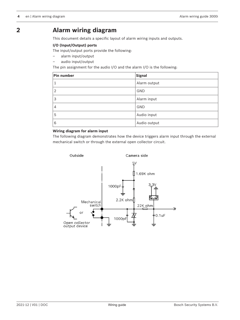## **2 Alarm wiring diagram**

This document details a specific layout of alarm wiring inputs and outputs.

## **I/O (Input/Output) ports**

The input/output ports provide the following:

- alarm input/output
- audio input/output

The pin assignment for the audio I/O and the alarm I/O is the following:

| Pin number     | Signal       |
|----------------|--------------|
| 1              | Alarm output |
| $\overline{2}$ | GND          |
| 3              | Alarm input  |
| 4              | <b>GND</b>   |
| 5              | Audio input  |
| 6              | Audio output |

## **Wiring diagram for alarm input**

The following diagram demonstrates how the device triggers alarm input through the external mechanical switch or through the external open collector circuit.

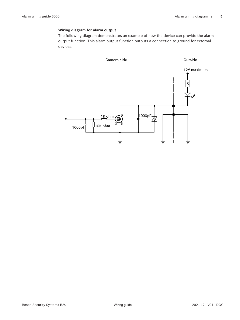#### **Wiring diagram for alarm output**

The following diagram demonstrates an example of how the device can provide the alarm output function. This alarm output function outputs a connection to ground for external devices.